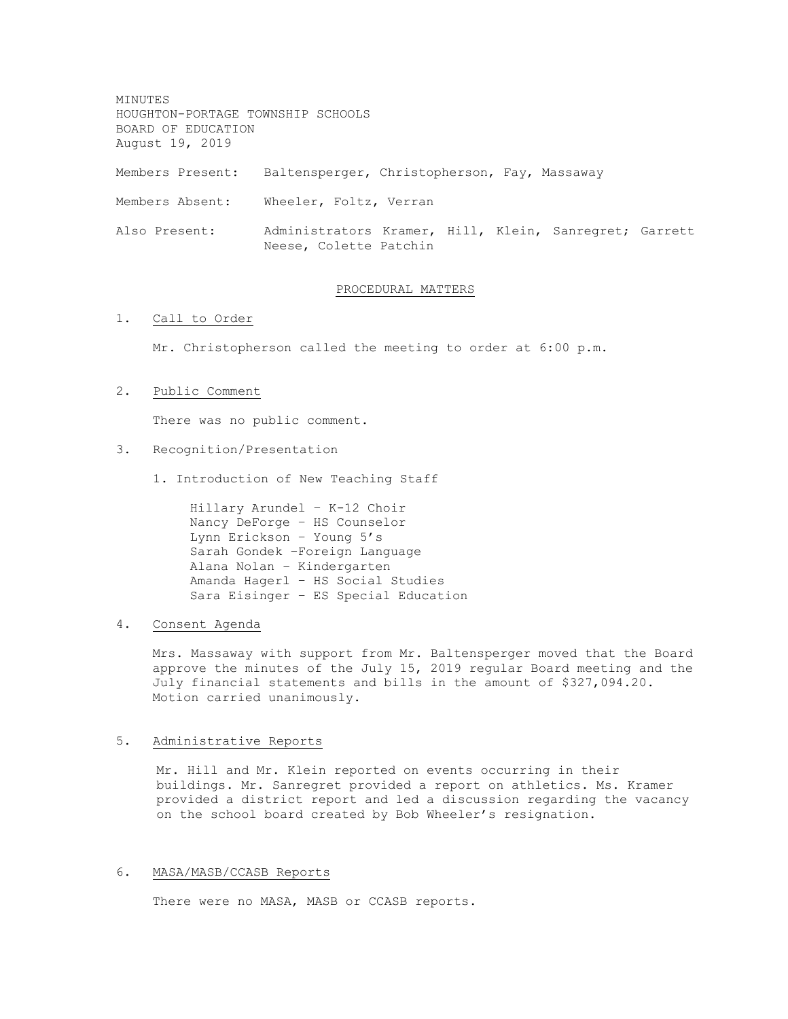MINUTES HOUGHTON-PORTAGE TOWNSHIP SCHOOLS BOARD OF EDUCATION August 19, 2019 Members Present: Baltensperger, Christopherson, Fay, Massaway Members Absent: Wheeler, Foltz, Verran Also Present: Administrators Kramer, Hill, Klein, Sanregret; Garrett Neese, Colette Patchin

#### PROCEDURAL MATTERS

# 1. Call to Order

Mr. Christopherson called the meeting to order at 6:00 p.m.

# 2. Public Comment

There was no public comment.

# 3. Recognition/Presentation

1. Introduction of New Teaching Staff

Hillary Arundel – K-12 Choir Nancy DeForge – HS Counselor Lynn Erickson – Young 5's Sarah Gondek –Foreign Language Alana Nolan – Kindergarten Amanda Hagerl – HS Social Studies Sara Eisinger – ES Special Education

## 4. Consent Agenda

Mrs. Massaway with support from Mr. Baltensperger moved that the Board approve the minutes of the July 15, 2019 regular Board meeting and the July financial statements and bills in the amount of \$327,094.20. Motion carried unanimously.

# 5. Administrative Reports

Mr. Hill and Mr. Klein reported on events occurring in their buildings. Mr. Sanregret provided a report on athletics. Ms. Kramer provided a district report and led a discussion regarding the vacancy on the school board created by Bob Wheeler's resignation.

#### 6. MASA/MASB/CCASB Reports

There were no MASA, MASB or CCASB reports.